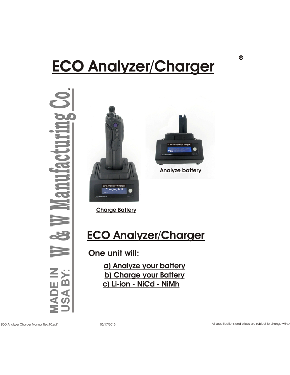#### V Z GI I **ANALYZER Ia, IIIa & VIa ECO Analyzer/Charger**

**MA D** $\mathbf{E}$ **IN**<br>IN<br>IN **US**  $\blacktriangleleft$ **≥**<br>2⊁ & $\blacktriangleright$  $\equiv$ **ad**  $\blacksquare$ u $\frac{1}{2}$  $\bullet$ tp r $\bullet$  in the set of  $\bullet$ n**bo**  $\bigcirc$ o





**Charge Battery**

## **ECO Analyzer/Charger**

**One unit will:**

**a) Analyze your battery b) Charge your Battery c) Li-ion - NiCd - NiMh**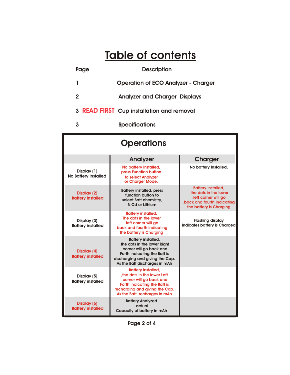### **Table of contents**

# Page Description **1 Operation of ECO Analyzer - Charger 2 Analyzer and Charger Displays 3 READ FIRST** Cup installation and removal

**3 Specifications** 

| <b>Operations</b>                          |                                                                                                                                                                                         |                                                                                                                                    |
|--------------------------------------------|-----------------------------------------------------------------------------------------------------------------------------------------------------------------------------------------|------------------------------------------------------------------------------------------------------------------------------------|
|                                            | Analyzer                                                                                                                                                                                | <b>Charger</b>                                                                                                                     |
| Display (1)<br><b>No Battery installed</b> | No battery Installed,<br>press Function button<br>to select Analyzer<br>or Charger Mode.                                                                                                | No battery Installed,                                                                                                              |
| Display (2)<br><b>Battery installed</b>    | <b>Battery installed, press</b><br>function button to<br>select Batt chemistry.<br>NiCd or Lithium                                                                                      | <b>Battery installed,</b><br>the dots in the lower<br>left corner will go<br>back and fourth indicating<br>the battery is Charging |
| Display (3)<br><b>Battery installed</b>    | <b>Battery installed,</b><br>The dots in the lower<br>left corner will go<br>back and fourth indicating<br>the battery is Charging                                                      | <b>Flashing display</b><br>indicates battery is Charged                                                                            |
| Display (4)<br><b>Battery installed</b>    | <b>Battery installed,</b><br>the dots in the lower Right<br>corner will go back and<br>Forth indicating the Batt is<br>discharging and giving the Cap.<br>As the Batt discharges in mAh |                                                                                                                                    |
| Display (5)<br><b>Battery installed</b>    | <b>Battery installed,</b><br>the dots in the lower Left<br>corner will go back and<br>Forth indicating the Batt is<br>recharging and giving the Cap.<br>As the Batt. recharges in mAh   |                                                                                                                                    |
| Display (6)<br><b>Battery installed</b>    | <b>Battery Analyzed</b><br>actual<br>Capacity of battery in mAh                                                                                                                         |                                                                                                                                    |

**Page 2 of 4**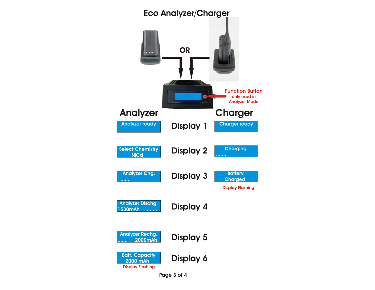